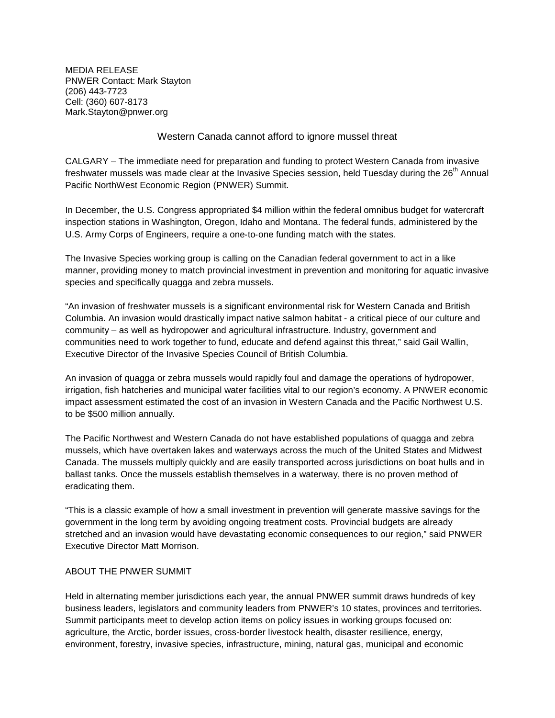MEDIA RELEASE PNWER Contact: Mark Stayton (206) 443-7723 Cell: (360) 607-8173 Mark.Stayton@pnwer.org

## Western Canada cannot afford to ignore mussel threat

CALGARY – The immediate need for preparation and funding to protect Western Canada from invasive freshwater mussels was made clear at the Invasive Species session, held Tuesday during the 26<sup>th</sup> Annual Pacific NorthWest Economic Region (PNWER) Summit.

In December, the U.S. Congress appropriated \$4 million within the federal omnibus budget for watercraft inspection stations in Washington, Oregon, Idaho and Montana. The federal funds, administered by the U.S. Army Corps of Engineers, require a one‐to‐one funding match with the states.

The Invasive Species working group is calling on the Canadian federal government to act in a like manner, providing money to match provincial investment in prevention and monitoring for aquatic invasive species and specifically quagga and zebra mussels.

"An invasion of freshwater mussels is a significant environmental risk for Western Canada and British Columbia. An invasion would drastically impact native salmon habitat - a critical piece of our culture and community – as well as hydropower and agricultural infrastructure. Industry, government and communities need to work together to fund, educate and defend against this threat," said Gail Wallin, Executive Director of the Invasive Species Council of British Columbia.

An invasion of quagga or zebra mussels would rapidly foul and damage the operations of hydropower, irrigation, fish hatcheries and municipal water facilities vital to our region's economy. A PNWER economic impact assessment estimated the cost of an invasion in Western Canada and the Pacific Northwest U.S. to be \$500 million annually.

The Pacific Northwest and Western Canada do not have established populations of quagga and zebra mussels, which have overtaken lakes and waterways across the much of the United States and Midwest Canada. The mussels multiply quickly and are easily transported across jurisdictions on boat hulls and in ballast tanks. Once the mussels establish themselves in a waterway, there is no proven method of eradicating them.

"This is a classic example of how a small investment in prevention will generate massive savings for the government in the long term by avoiding ongoing treatment costs. Provincial budgets are already stretched and an invasion would have devastating economic consequences to our region," said PNWER Executive Director Matt Morrison.

## ABOUT THE PNWER SUMMIT

Held in alternating member jurisdictions each year, the annual PNWER summit draws hundreds of key business leaders, legislators and community leaders from PNWER's 10 states, provinces and territories. Summit participants meet to develop action items on policy issues in working groups focused on: agriculture, the Arctic, border issues, cross-border livestock health, disaster resilience, energy, environment, forestry, invasive species, infrastructure, mining, natural gas, municipal and economic